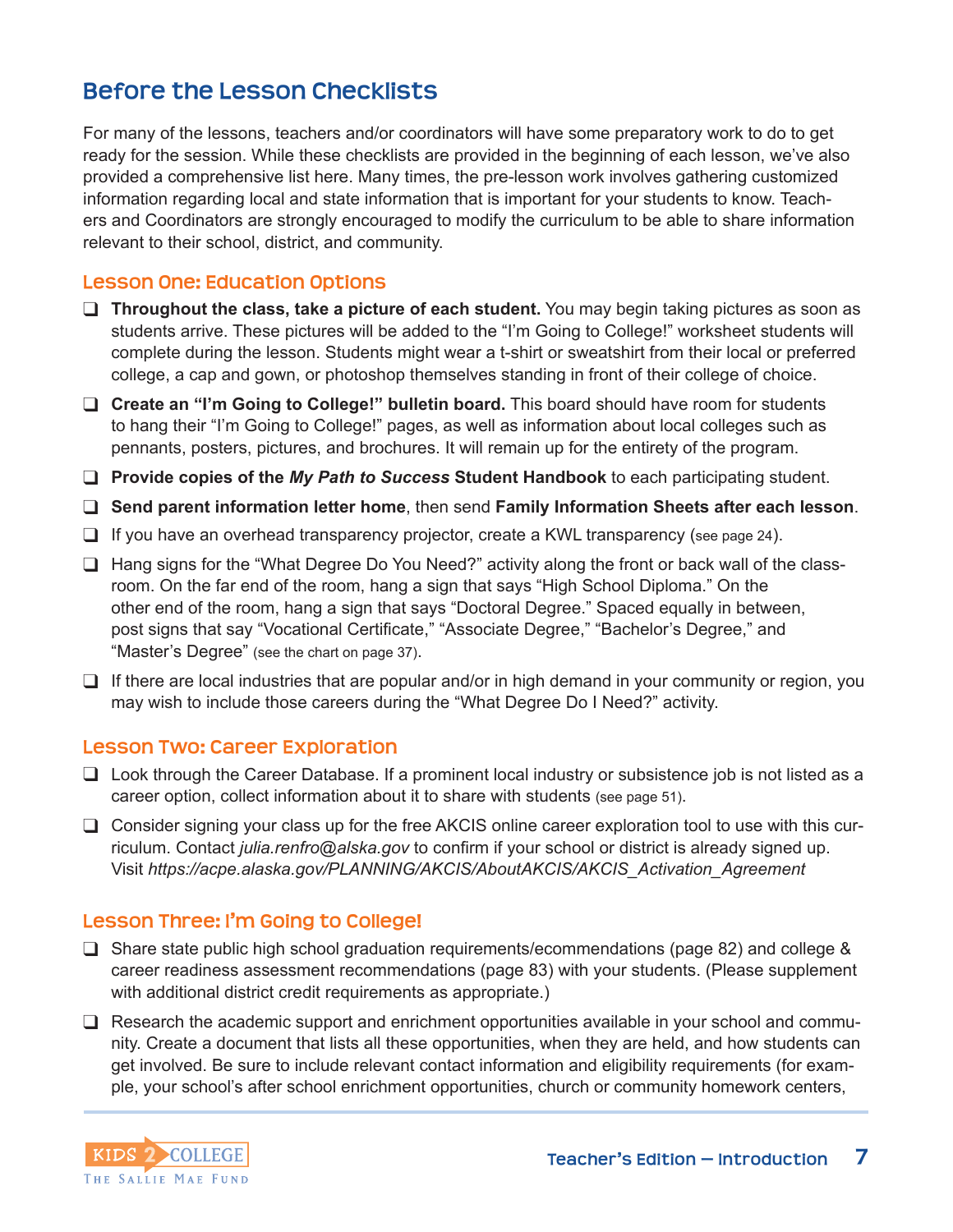# **Before the Lesson Checklists**

For many of the lessons, teachers and/or coordinators will have some preparatory work to do to get ready for the session. While these checklists are provided in the beginning of each lesson, we've also provided a comprehensive list here. Many times, the pre-lesson work involves gathering customized information regarding local and state information that is important for your students to know. Teachers and Coordinators are strongly encouraged to modify the curriculum to be able to share information relevant to their school, district, and community.

#### **Lesson One: Education Options**

- □ Throughout the class, take a picture of each student. You may begin taking pictures as soon as students arrive. These pictures will be added to the "I'm Going to College!" worksheet students will complete during the lesson. Students might wear a t-shirt or sweatshirt from their local or preferred college, a cap and gown, or photoshop themselves standing in front of their college of choice.
- □ Create an "I'm Going to College!" bulletin board. This board should have room for students to hang their "I'm Going to College!" pages, as well as information about local colleges such as pennants, posters, pictures, and brochures. It will remain up for the entirety of the program.

❑ **Provide copies of the** *My Path to Success* **Student Handbook** to each participating student.

- ❑ **Send parent information letter home**, then send **Family Information Sheets after each lesson**.
- □ If you have an overhead transparency projector, create a KWL transparency (see page 24).
- □ Hang signs for the "What Degree Do You Need?" activity along the front or back wall of the classroom. On the far end of the room, hang a sign that says "High School Diploma." On the other end of the room, hang a sign that says "Doctoral Degree." Spaced equally in between, post signs that say "Vocational Certificate," "Associate Degree," "Bachelor's Degree," and "Master's Degree" (see the chart on page 37).
- □ If there are local industries that are popular and/or in high demand in your community or region, you may wish to include those careers during the "What Degree Do I Need?" activity.

#### **Lesson Two: Career Exploration**

- ❑ Look through the Career Database. If a prominent local industry or subsistence job is not listed as a career option, collect information about it to share with students (see page 51).
- ❑ Consider signing your class up for the free AKCIS online career exploration tool to use with this curriculum. Contact *julia.renfro@alska.gov* to confirm if your school or district is already signed up. Visit *https://acpe.alaska.gov/PLANNING/AKCIS/AboutAKCIS/AKCIS\_Activation\_Agreement*

#### **Lesson Three: I'm Going to College!**

- ❑ Share state public high school graduation requirements/ecommendations (page 82) and college & career readiness assessment recommendations (page 83) with your students. (Please supplement with additional district credit requirements as appropriate.)
- $\Box$  Research the academic support and enrichment opportunities available in your school and community. Create a document that lists all these opportunities, when they are held, and how students can get involved. Be sure to include relevant contact information and eligibility requirements (for example, your school's after school enrichment opportunities, church or community homework centers,